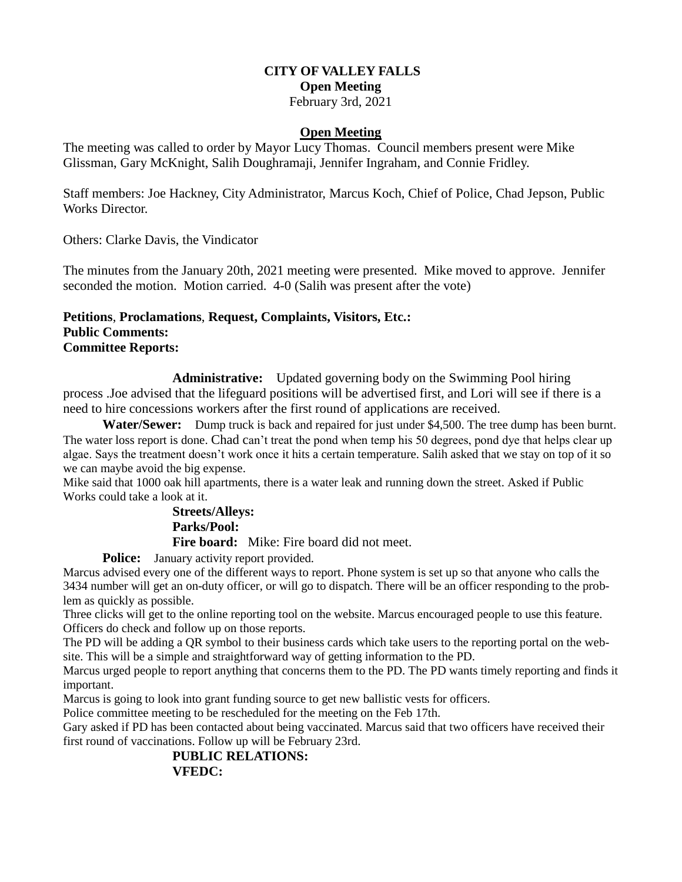# **CITY OF VALLEY FALLS Open Meeting**

# February 3rd, 2021

## **Open Meeting**

The meeting was called to order by Mayor Lucy Thomas. Council members present were Mike Glissman, Gary McKnight, Salih Doughramaji, Jennifer Ingraham, and Connie Fridley.

Staff members: Joe Hackney, City Administrator, Marcus Koch, Chief of Police, Chad Jepson, Public Works Director.

Others: Clarke Davis, the Vindicator

The minutes from the January 20th, 2021 meeting were presented. Mike moved to approve. Jennifer seconded the motion. Motion carried. 4-0 (Salih was present after the vote)

# **Petitions**, **Proclamations**, **Request, Complaints, Visitors, Etc.: Public Comments: Committee Reports:**

**Administrative:** Updated governing body on the Swimming Pool hiring process .Joe advised that the lifeguard positions will be advertised first, and Lori will see if there is a need to hire concessions workers after the first round of applications are received.

 **Water/Sewer:** Dump truck is back and repaired for just under \$4,500. The tree dump has been burnt. The water loss report is done. Chad can't treat the pond when temp his 50 degrees, pond dye that helps clear up algae. Says the treatment doesn't work once it hits a certain temperature. Salih asked that we stay on top of it so we can maybe avoid the big expense.

Mike said that 1000 oak hill apartments, there is a water leak and running down the street. Asked if Public Works could take a look at it.

# **Streets/Alleys: Parks/Pool: Fire board:** Mike: Fire board did not meet.

**Police:** January activity report provided.

Marcus advised every one of the different ways to report. Phone system is set up so that anyone who calls the 3434 number will get an on-duty officer, or will go to dispatch. There will be an officer responding to the problem as quickly as possible.

Three clicks will get to the online reporting tool on the website. Marcus encouraged people to use this feature. Officers do check and follow up on those reports.

The PD will be adding a QR symbol to their business cards which take users to the reporting portal on the website. This will be a simple and straightforward way of getting information to the PD.

Marcus urged people to report anything that concerns them to the PD. The PD wants timely reporting and finds it important.

Marcus is going to look into grant funding source to get new ballistic vests for officers.

Police committee meeting to be rescheduled for the meeting on the Feb 17th.

Gary asked if PD has been contacted about being vaccinated. Marcus said that two officers have received their first round of vaccinations. Follow up will be February 23rd.

# **PUBLIC RELATIONS: VFEDC:**